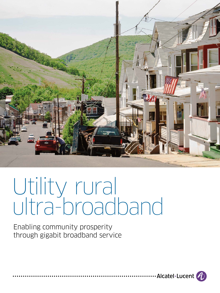

# Utility rural ultra-broadband

Enabling community prosperity through gigabit broadband service

 $\cdot$  Alcatel·Lucent  $\bigcirc$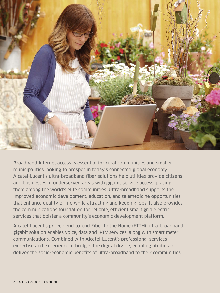

Broadband Internet access is essential for rural communities and smaller municipalities looking to prosper in today's connected global economy. Alcatel-Lucent's ultra-broadband fiber solutions help utilities provide citizens and businesses in underserved areas with gigabit service access, placing them among the world's elite communities. Ultra-broadband supports the improved economic development, education, and telemedicine opportunities that enhance quality of life while attracting and keeping jobs. It also provides the communications foundation for reliable, efficient smart grid electric services that bolster a community's economic development platform.

Alcatel-Lucent's proven end-to-end Fiber to the Home (FTTH) ultra-broadband gigabit solution enables voice, data and IPTV services, along with smart meter communications. Combined with Alcatel-Lucent's professional services expertise and experience, it bridges the digital divide, enabling utilities to deliver the socio-economic benefits of ultra-broadband to their communities.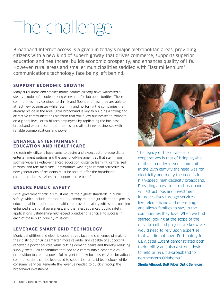# The challenge

Broadband Internet access is a given in today's major metropolitan areas, providing citizens with a new kind of superhighway that drives commerce, supports superior education and healthcare, builds economic prosperity, and enhances quality of life. However, rural areas and smaller municipalities saddled with "last millennium" communications technology face being left behind.

### **SUPPORT ECONOMIC GROWTH**

Many rural areas and smaller municipalities already have witnessed a steady exodus of people looking elsewhere for job opportunities. These communities may continue to shrink and flounder unless they are able to attract new businesses while retaining and nurturing the companies that already reside in the area. Ultra-broadband is key to building a strong and attractive communications platform that will allow businesses to compete on a global level, draw hi-tech employees by replicating the business broadband experience in their homes, and attract new businesses with reliable communications and power.

### **ENHANCE ENTERTAINMENT, EDUCATION AND HEALTHCARE**

Increasingly, citizens have come to desire and expect cutting-edge digital entertainment options and the quality-of-life amenities that stem from such services as video-enhanced education, distance learning, centralized records, and tele-medicine. Communities wishing to remain attractive to new generations of residents must be able to offer the broadband communications services that support these benefits.

# **ENSURE PUBLIC SAFETY**

Local government officials must ensure the highest standards in public safety, which include interoperability among multiple jurisdictions, agencies, educational institutions, and healthcare providers, along with smart policing, enhanced situational awareness, and the latest advanced public safety applications. Establishing high-speed broadband is critical to success in each of these high-priority missions.

# **LEVERAGE SMART GRID TECHNOLOGY**

Municipal utilities and electric cooperatives face the challenges of making their distribution grids smarter, more reliable, and capable of supporting renewable power sources while cutting demand peaks and thereby reducing supply costs — all capabilities that add to a community's economic value proposition to create a powerful magnet for new businesses. And, broadband communications can be leveraged to support smart grid technology, while consumer services generate the revenue needed to quickly recoup the broadband investment.



"The legacy of the rural electric cooperatives is that of bringing vital utilities to underserved communities. In the 20th century the need was for electricity and today the need is for high-speed, high-capacity broadband. Providing access to ultra-broadband will attract jobs and investment, improves lives through services like telemedicine and e-learning, and allows families to stay in the communities they love. When we first started looking at the scope of the ultra-broadband project, we knew we would need to rely upon expertise that we did not have. Fortunately for us, Alcatel-Lucent demonstrated both their ability and also a strong desire to help bring ultra-broadband to northeastern Oklahoma."

Sheila Allgood, Bolt Fiber Optic Services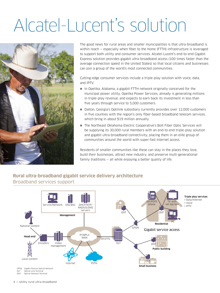# Alcatel-Lucent's solution



The good news for rural areas and smaller municipalities is that ultra-broadband is within reach — especially when fiber to the home (FTTH) infrastructure is leveraged to support both utility and consumer services. Alcatel-Lucent's end-to-end Gigabit Express solution provides gigabit ultra-broadband access (100 times faster than the average connection speed in the United States) so that local citizens and businesses can join a group of the world's most connected communities.

Cutting-edge consumer services include a triple-play solution with voice, data, and IPTV.

- $\blacksquare$  In Opelika, Alabama, a gigabit FTTH network originally conceived for the municipal power utility, Opelika Power Services, already is generating millions in triple-play revenue, and expects to earn back its investment in less than five years through service to 5,000 customers.
- Dalton, Georgia's Optilink subsidiary currently provides over 12,000 customers in five counties with the region's only fiber-based broadband telecom services, which bring in about \$19 million annually.
- The Northeast Oklahoma Electric Cooperative's Bolt Fiber Optic Services will be supplying its 30,000 rural members with an end-to-end triple-play solution and gigabit ultra-broadband connectivity, placing them in an elite group of communities around the world with super-fast Internet access.

Residents of smaller communities like these can stay in the places they love, build their businesses, attract new industry, and preserve multi-generational family traditions – all while enjoying a better quality of life.

# **Rural ultra-broadband gigabit service delivery architecture** Broadband services support



OLT Optical Line Terminal Optical Network Terminal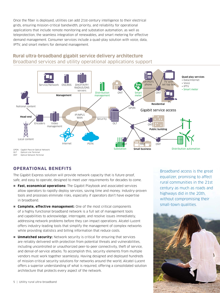Once the fiber is deployed, utilities can add 21st-century intelligence to their electrical grids, ensuring mission-critical bandwidth, priority, and reliability for operational applications that include remote monitoring and substation automation, as well as teleprotection, the seamless integration of renewables, and smart metering for effective demand management. Consumer services include a quad-play solution with voice, data, IPTV, and smart meters for demand management.



# **Rural ultra-broadband gigabit service delivery architecture** Broadband services and utility operational applications support

# **OPERATIONAL BENEFITS**

The Gigabit Express solution will provide network capacity that is future-proof, safe, and easy to operate, designed to meet user requirements for decades to come.

- **Fast, economical operations:** The Gigabit Playbook and associated services allow operators to rapidly deploy services, saving time and money. Industry-proven tools and processes eliminate risks, especially if operators don't have expertise in broadband.
- **Complete, effective management:** One of the most critical components of a highly functional broadband network is a full set of management tools and capabilities to acknowledge, interrogate, and resolve issues immediately, addressing network problems before they can impact operations. Alcatel-Lucent offers industry-leading tools that simplify the management of complex networks while providing statistics and billing information that reduce costs.
- **Unmatched security:** Network security is critical for ensuring that services are reliably delivered with protection from potential threats and vulnerabilities, including uncontrolled or unauthorized peer-to-peer connectivity, theft of service, and denial-of-service attacks. To accomplish this, security elements from multiple vendors must work together seamlessly. Having designed and deployed hundreds of mission-critical security solutions for networks around the world, Alcatel-Lucent offers a superior understanding of what is required, offering a consolidated solution architecture that protects every aspect of the network.

Broadband access is the great equalizer, promising to affect rural communities in the 21st century as much as roads and highways did in the 20th, without compromising their small-town qualities.

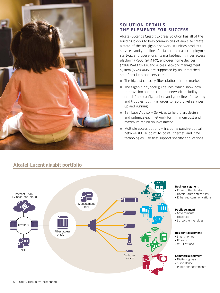

### **SOLUTION DETAILS: THE ELEMENTS FOR SUCCESS**

Alcatel-Lucent's Gigabit Express Solution has all of the building blocks to help communities of any size create a state-of-the-art gigabit network. It unifies products, services, and guidelines for faster and easier deployment, start-up, and operations. Its market-leading fiber access platform (7360 ISAM FX), end-user home devices (7368 ISAM ONTs), and access network management system (5520 AMS) are supported by an unmatched set of products and services:

- $\blacksquare$  The highest capacity fiber platform in the market
- $\blacksquare$  The Gigabit Playbook guidelines, which show how to provision and operate the network, including pre-defined configurations and guidelines for testing and troubleshooting in order to rapidly get services up and running
- $\blacksquare$  Bell Labs Advisory Services to help plan, design and optimize each network for minimum cost and maximum return on investment
- $\blacksquare$  Multiple access options  $-$  including passive optical network (PON), point–to-point Ethernet, and xDSL technologies — to best support specific applications.

# **Alcatel-Lucent gigabit portfolio**



#### **Business segment**

- Fibre to the desktop
- Hotels, large enterprises
- Enhanced communications

#### **Public segment**

- Governments
- Hospitals
- Schools, universities

#### **Residential segment**

- Smart homes
- IP voice
- Wi-Fi offload

#### **Commercial segment**

- Digital signage
- Surveillance
- Public announcements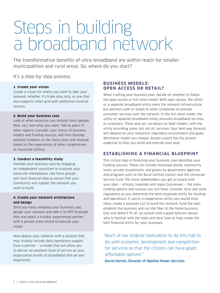# Steps in building a broadband network

The transformative benefits of ultra-broadband are within reach for smaller municipalities and rural areas. So, where do you start?

It's a step-by-step process.

#### **1. Create your vision**

Create a vision for where you want to take your network, whether it's triple-play only, or one that also supports smart grid with additional revenue sources.

#### **2. Build your business case**

Look at what resources you already have (people, fiber, etc.) and what you need. Talk to peers in other regions. Consider your choice of business models and funding sources, and then develop detailed numbers on the likely costs and revenue based on the experiences of other cooperatives or municipal utilities.

#### **3. Conduct a feasibility study**

Validate your business case by engaging an independent consultant to evaluate your particular marketplace. Use focus groups and local financial data to assure that your community will support the network you want to build

#### **4. Create your network architecture and design**

Once you have validated your business case, design your network and take it to RFP. Evaluate bids and select a trusted, experienced partner with a proven track record to execute your vision.

Now deploy your network with a solution that may initially include daily operations support from a partner  $-$  a model that will allow you to deliver an excellent level of service as your organization builds its broadband skill set and experience.

### **BUSINESS MODELS: OPEN ACCESS OR RETAIL?**

When crafting your business plan, decide on whether to follow the open-access or full-retail model. With open access, the utility or a separate broadband entity owns the network infrastructure, but partners with or leases to other companies to provide consumer services over the network. In the full-retail model, the utility or separate broadband entity provides broadband services to customers. There also are variations on both models, with the utility providing some, but not all, services. Your best way forward will depend on your resources, regulatory environment and goals. Whichever model you choose, Alcatel-Lucent has the proven expertise to help you build and execute your plan.

# **ESTABLISHING A FINANCIAL BLUEPRINT**

This critical step in finalizing your business case identifies your funding sources. These can include municipal bonds, community loans, private investments, and grants by government agencies and programs such as the Rural Utilities Council and the Universal Service Fund. The more stakeholders you get on board with your plan — schools, hospitals and major businesses — the more funding options and success you will have. Consider local and state regulations as you determine the best corporate entity for funding and operations. If you're a cooperative utility you would most likely create a separate LLC to build the network, fund the loan, establish the business and run the fiber to the home business. One size doesn't fit all, so consult with a good telecom lawyer who is familiar with the state and local laws to help create the best financial entity for your purposes.

"Much of our original motivation to do this had to do with economic development and competition for services so that the citizens can have good, affordable options."

David Horton, Director of Opelika Power Services